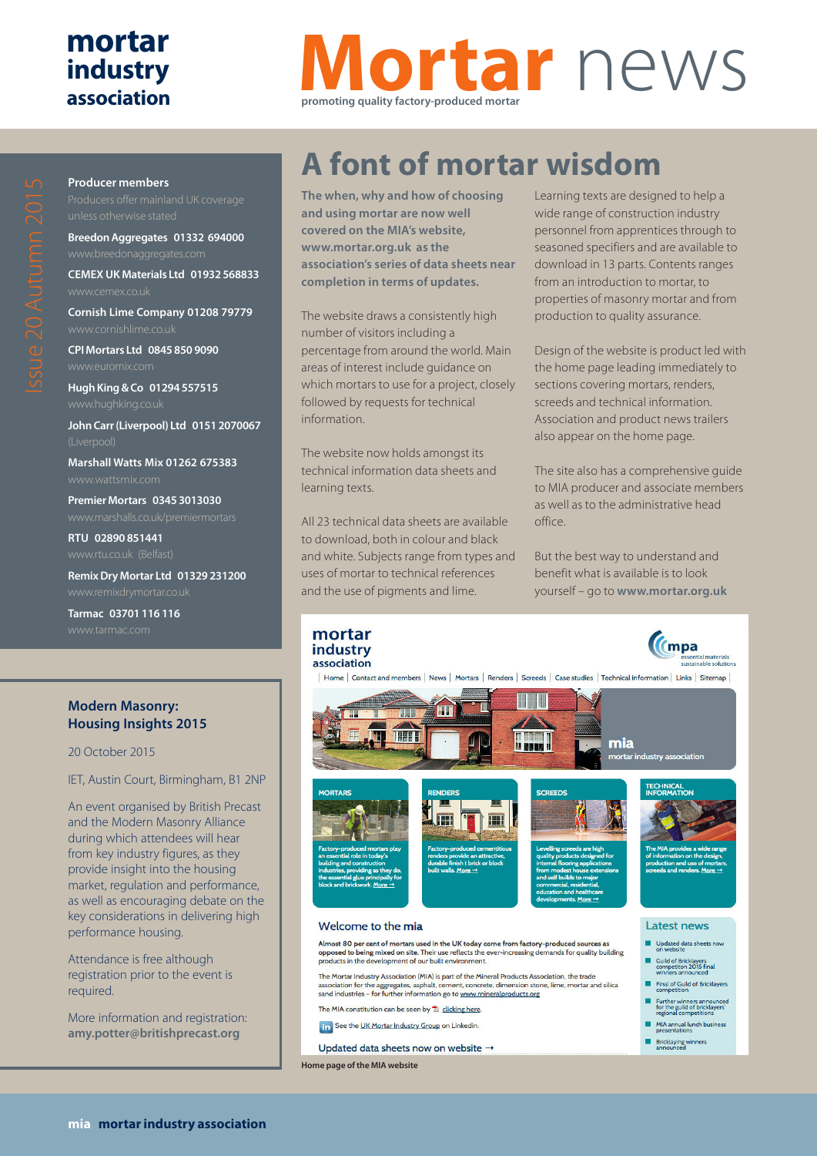## **mortar industry association**

# **Mortar** news **promoting quality factory-produced mortar**

### **Producer members**

**Breedon Aggregates 01332 694000**

**CEMEX UK Materials Ltd 01932 568833**

**Cornish Lime Company 01208 79779**

**CPI Mortars Ltd 0845 850 9090**

**Hugh King & Co 01294 557515**

**John Carr (Liverpool) Ltd 0151 2070067**

**Marshall Watts Mix 01262 675383**

**Premier Mortars 0345 3013030**

**RTU 02890 851441**

**Remix Dry Mortar Ltd 01329 231200**

**Tarmac 03701 116 116**

#### **Modern Masonry: Housing Insights 2015**

20 October 2015

IET, Austin Court, Birmingham, B1 2NP

An event organised by British Precast and the Modern Masonry Alliance during which attendees will hear from key industry figures, as they provide insight into the housing market, regulation and performance, as well as encouraging debate on the key considerations in delivering high performance housing.

Attendance is free although registration prior to the event is required.

More information and registration: **[amy.potter@britishprecast.org](mailto:amy.potter@britishprecast.org)**

## **A font of mortar wisdom**

**The when, why and how of choosing and using mortar are now well covered on the MIA's website, www.mortar.org.uk as the association's series of data sheets near completion in terms of updates.**

The website draws a consistently high number of visitors including a percentage from around the world. Main areas of interest include guidance on which mortars to use for a project, closely followed by requests for technical information.

The website now holds amongst its technical information data sheets and learning texts.

All 23 technical data sheets are available to download, both in colour and black and white. Subjects range from types and uses of mortar to technical references and the use of pigments and lime.

Learning texts are designed to help a wide range of construction industry personnel from apprentices through to seasoned specifiers and are available to download in 13 parts. Contents ranges from an introduction to mortar, to properties of masonry mortar and from production to quality assurance.

Design of the website is product led with the home page leading immediately to sections covering mortars, renders, screeds and technical information. Association and product news trailers also appear on the home page.

The site also has a comprehensive guide to MIA producer and associate members as well as to the administrative head office.

But the best way to understand and benefit what is available is to look yourself – go to **www.mortar.org.uk**



in See the UK Mortar Industry Group on Linkedin

Updated data sheets now on website  $\rightarrow$ 

**Home page of the MIA website**

- MIA annual lunch business
- Bricklaying winners